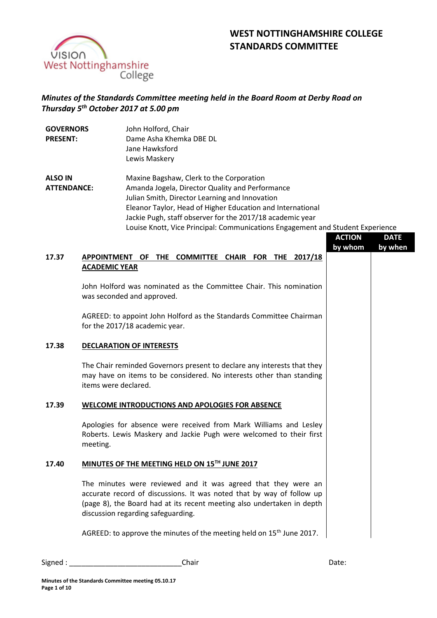



# *Minutes of the Standards Committee meeting held in the Board Room at Derby Road on Thursday 5 th October 2017 at 5.00 pm*

| <b>GOVERNORS</b><br><b>PRESENT:</b>  |                                                                                                     | John Holford, Chair<br>Dame Asha Khemka DBE DL<br>Jane Hawksford<br>Lewis Maskery                                                                                                                                                                                                                                                                          |               |             |  |
|--------------------------------------|-----------------------------------------------------------------------------------------------------|------------------------------------------------------------------------------------------------------------------------------------------------------------------------------------------------------------------------------------------------------------------------------------------------------------------------------------------------------------|---------------|-------------|--|
| <b>ALSO IN</b><br><b>ATTENDANCE:</b> |                                                                                                     | Maxine Bagshaw, Clerk to the Corporation<br>Amanda Jogela, Director Quality and Performance<br>Julian Smith, Director Learning and Innovation<br>Eleanor Taylor, Head of Higher Education and International<br>Jackie Pugh, staff observer for the 2017/18 academic year<br>Louise Knott, Vice Principal: Communications Engagement and Student Experience | <b>ACTION</b> | <b>DATE</b> |  |
| 17.37                                | by whom<br>by when<br>APPOINTMENT OF THE COMMITTEE CHAIR FOR THE<br>2017/18<br><b>ACADEMIC YEAR</b> |                                                                                                                                                                                                                                                                                                                                                            |               |             |  |
|                                      | John Holford was nominated as the Committee Chair. This nomination<br>was seconded and approved.    |                                                                                                                                                                                                                                                                                                                                                            |               |             |  |
|                                      |                                                                                                     | AGREED: to appoint John Holford as the Standards Committee Chairman<br>for the 2017/18 academic year.                                                                                                                                                                                                                                                      |               |             |  |
| 17.38                                | <b>DECLARATION OF INTERESTS</b>                                                                     |                                                                                                                                                                                                                                                                                                                                                            |               |             |  |
|                                      | items were declared.                                                                                | The Chair reminded Governors present to declare any interests that they<br>may have on items to be considered. No interests other than standing                                                                                                                                                                                                            |               |             |  |
| 17.39                                |                                                                                                     | <b>WELCOME INTRODUCTIONS AND APOLOGIES FOR ABSENCE</b>                                                                                                                                                                                                                                                                                                     |               |             |  |
|                                      | meeting.                                                                                            | Apologies for absence were received from Mark Williams and Lesley<br>Roberts. Lewis Maskery and Jackie Pugh were welcomed to their first                                                                                                                                                                                                                   |               |             |  |
| 17.40                                | MINUTES OF THE MEETING HELD ON 15TH JUNE 2017                                                       |                                                                                                                                                                                                                                                                                                                                                            |               |             |  |
|                                      |                                                                                                     | The minutes were reviewed and it was agreed that they were an<br>accurate record of discussions. It was noted that by way of follow up<br>(page 8), the Board had at its recent meeting also undertaken in depth<br>discussion regarding safeguarding.                                                                                                     |               |             |  |
|                                      |                                                                                                     | AGREED: to approve the minutes of the meeting held on 15 <sup>th</sup> June 2017.                                                                                                                                                                                                                                                                          |               |             |  |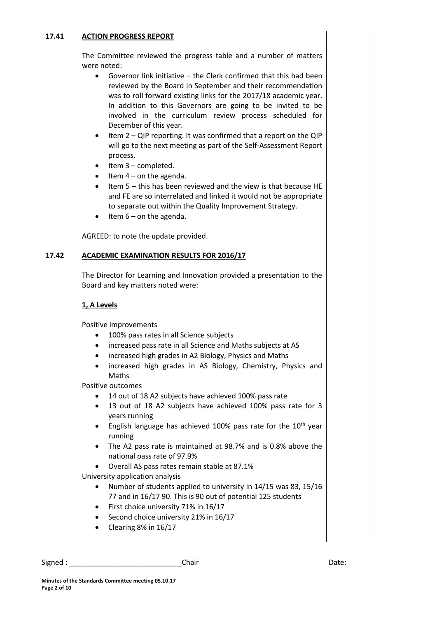## **17.41 ACTION PROGRESS REPORT**

The Committee reviewed the progress table and a number of matters were noted:

- Governor link initiative the Clerk confirmed that this had been reviewed by the Board in September and their recommendation was to roll forward existing links for the 2017/18 academic year. In addition to this Governors are going to be invited to be involved in the curriculum review process scheduled for December of this year.
- Item 2 QIP reporting. It was confirmed that a report on the QIP will go to the next meeting as part of the Self-Assessment Report process.
- $\bullet$  Item 3 completed.
- $\bullet$  Item 4 on the agenda.
- $\bullet$  Item 5 this has been reviewed and the view is that because HE and FE are so interrelated and linked it would not be appropriate to separate out within the Quality Improvement Strategy.
- $\bullet$  Item 6 on the agenda.

AGREED: to note the update provided.

# **17.42 ACADEMIC EXAMINATION RESULTS FOR 2016/17**

The Director for Learning and Innovation provided a presentation to the Board and key matters noted were:

### **1, A Levels**

Positive improvements

- 100% pass rates in all Science subjects
- increased pass rate in all Science and Maths subjects at AS
- increased high grades in A2 Biology, Physics and Maths
- increased high grades in AS Biology, Chemistry, Physics and Maths

Positive outcomes

- 14 out of 18 A2 subjects have achieved 100% pass rate
- 13 out of 18 A2 subjects have achieved 100% pass rate for 3 years running
- English language has achieved 100% pass rate for the  $10<sup>th</sup>$  year running
- The A2 pass rate is maintained at 98.7% and is 0.8% above the national pass rate of 97.9%
- Overall AS pass rates remain stable at 87.1%

University application analysis

- Number of students applied to university in 14/15 was 83, 15/16 77 and in 16/17 90. This is 90 out of potential 125 students
- First choice university 71% in 16/17
- Second choice university 21% in 16/17
- $\bullet$  Clearing 8% in 16/17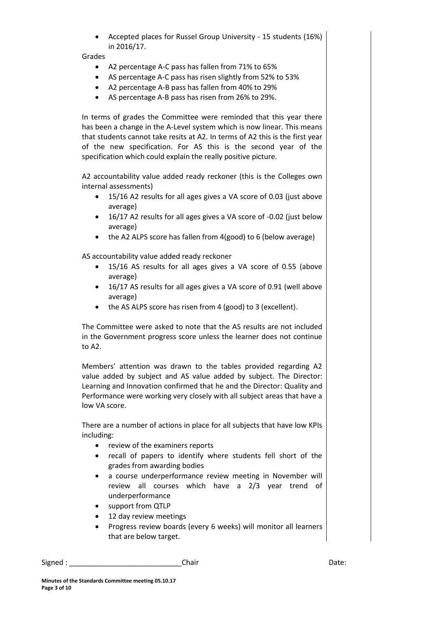Accepted places for Russel Group University - 15 students (16%) in 2016/17.

Grades

- A2 percentage A-C pass has fallen from 71% to 65%
- AS percentage A-C pass has risen slightly from 52% to 53%
- A2 percentage A-B pass has fallen from 40% to 29%
- AS percentage A-B pass has risen from 26% to 29%.

In terms of grades the Committee were reminded that this year there has been a change in the A-Level system which is now linear. This means that students cannot take resits at A2. In terms of A2 this is the first year of the new specification. For AS this is the second year of the specification which could explain the really positive picture.

A2 accountability value added ready reckoner (this is the Colleges own internal assessments)

- 15/16 A2 results for all ages gives a VA score of 0.03 (just above average)
- 16/17 A2 results for all ages gives a VA score of -0.02 (just below average)
- the A2 ALPS score has fallen from 4(good) to 6 (below average)

AS accountability value added ready reckoner

- 15/16 AS results for all ages gives a VA score of 0.55 (above average)
- 16/17 AS results for all ages gives a VA score of 0.91 (well above average)
- the AS ALPS score has risen from 4 (good) to 3 (excellent).

The Committee were asked to note that the AS results are not included in the Government progress score unless the learner does not continue to A2.

Members' attention was drawn to the tables provided regarding A2 value added by subject and AS value added by subject. The Director: Learning and Innovation confirmed that he and the Director: Quality and Performance were working very closely with all subject areas that have a low VA score.

There are a number of actions in place for all subjects that have low KPIs including:

- review of the examiners reports
- recall of papers to identify where students fell short of the grades from awarding bodies
- a course underperformance review meeting in November will review all courses which have a 2/3 year trend of underperformance
- support from QTLP
- 12 day review meetings
- Progress review boards (every 6 weeks) will monitor all learners that are below target.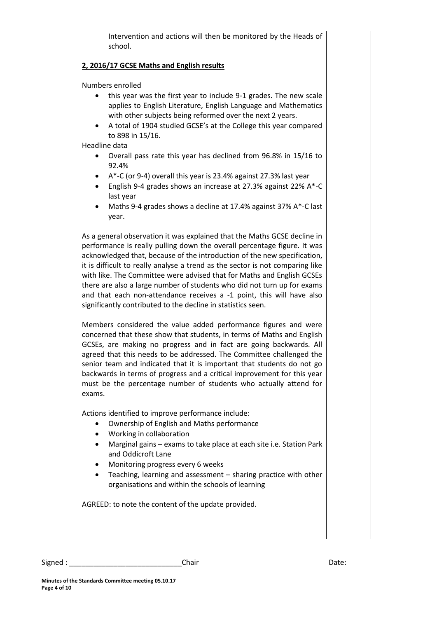Intervention and actions will then be monitored by the Heads of school.

# **2, 2016/17 GCSE Maths and English results**

Numbers enrolled

- this year was the first year to include 9-1 grades. The new scale applies to English Literature, English Language and Mathematics with other subjects being reformed over the next 2 years.
- A total of 1904 studied GCSE's at the College this year compared to 898 in 15/16.

Headline data

- Overall pass rate this year has declined from 96.8% in 15/16 to 92.4%
- A\*-C (or 9-4) overall this year is 23.4% against 27.3% last year
- English 9-4 grades shows an increase at 27.3% against 22% A\*-C last year
- Maths 9-4 grades shows a decline at 17.4% against 37% A\*-C last year.

As a general observation it was explained that the Maths GCSE decline in performance is really pulling down the overall percentage figure. It was acknowledged that, because of the introduction of the new specification, it is difficult to really analyse a trend as the sector is not comparing like with like. The Committee were advised that for Maths and English GCSEs there are also a large number of students who did not turn up for exams and that each non-attendance receives a -1 point, this will have also significantly contributed to the decline in statistics seen.

Members considered the value added performance figures and were concerned that these show that students, in terms of Maths and English GCSEs, are making no progress and in fact are going backwards. All agreed that this needs to be addressed. The Committee challenged the senior team and indicated that it is important that students do not go backwards in terms of progress and a critical improvement for this year must be the percentage number of students who actually attend for exams.

Actions identified to improve performance include:

- Ownership of English and Maths performance
- Working in collaboration
- Marginal gains exams to take place at each site i.e. Station Park and Oddicroft Lane
- Monitoring progress every 6 weeks
- Teaching, learning and assessment sharing practice with other organisations and within the schools of learning

AGREED: to note the content of the update provided.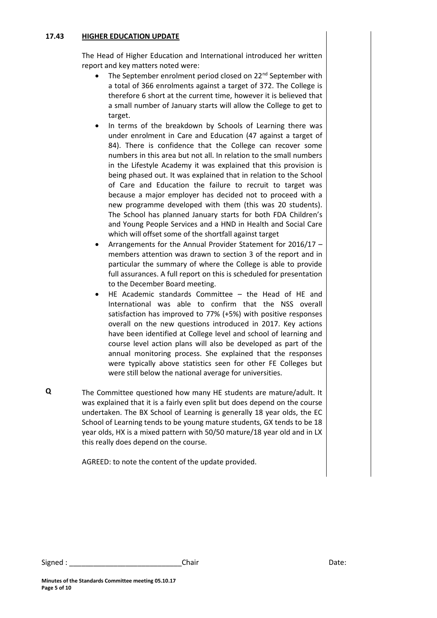#### **17.43 HIGHER EDUCATION UPDATE**

The Head of Higher Education and International introduced her written report and key matters noted were:

- The September enrolment period closed on 22<sup>nd</sup> September with a total of 366 enrolments against a target of 372. The College is therefore 6 short at the current time, however it is believed that a small number of January starts will allow the College to get to target.
- In terms of the breakdown by Schools of Learning there was under enrolment in Care and Education (47 against a target of 84). There is confidence that the College can recover some numbers in this area but not all. In relation to the small numbers in the Lifestyle Academy it was explained that this provision is being phased out. It was explained that in relation to the School of Care and Education the failure to recruit to target was because a major employer has decided not to proceed with a new programme developed with them (this was 20 students). The School has planned January starts for both FDA Children's and Young People Services and a HND in Health and Social Care which will offset some of the shortfall against target
- Arrangements for the Annual Provider Statement for 2016/17 members attention was drawn to section 3 of the report and in particular the summary of where the College is able to provide full assurances. A full report on this is scheduled for presentation to the December Board meeting.
- HE Academic standards Committee the Head of HE and International was able to confirm that the NSS overall satisfaction has improved to 77% (+5%) with positive responses overall on the new questions introduced in 2017. Key actions have been identified at College level and school of learning and course level action plans will also be developed as part of the annual monitoring process. She explained that the responses were typically above statistics seen for other FE Colleges but were still below the national average for universities.
- **Q** The Committee questioned how many HE students are mature/adult. It was explained that it is a fairly even split but does depend on the course undertaken. The BX School of Learning is generally 18 year olds, the EC School of Learning tends to be young mature students, GX tends to be 18 year olds, HX is a mixed pattern with 50/50 mature/18 year old and in LX this really does depend on the course.

AGREED: to note the content of the update provided.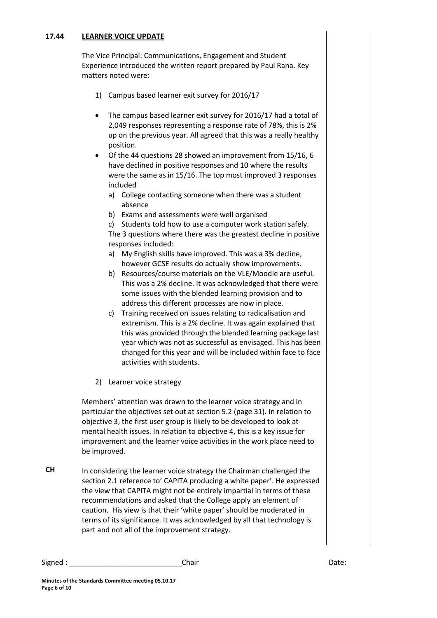#### **17.44 LEARNER VOICE UPDATE**

The Vice Principal: Communications, Engagement and Student Experience introduced the written report prepared by Paul Rana. Key matters noted were:

- 1) Campus based learner exit survey for 2016/17
- The campus based learner exit survey for 2016/17 had a total of 2,049 responses representing a response rate of 78%, this is 2% up on the previous year. All agreed that this was a really healthy position.
- Of the 44 questions 28 showed an improvement from 15/16, 6 have declined in positive responses and 10 where the results were the same as in 15/16. The top most improved 3 responses included
	- a) College contacting someone when there was a student absence
	- b) Exams and assessments were well organised

c) Students told how to use a computer work station safely. The 3 questions where there was the greatest decline in positive responses included:

- a) My English skills have improved. This was a 3% decline, however GCSE results do actually show improvements.
- b) Resources/course materials on the VLE/Moodle are useful. This was a 2% decline. It was acknowledged that there were some issues with the blended learning provision and to address this different processes are now in place.
- c) Training received on issues relating to radicalisation and extremism. This is a 2% decline. It was again explained that this was provided through the blended learning package last year which was not as successful as envisaged. This has been changed for this year and will be included within face to face activities with students.
- 2) Learner voice strategy

Members' attention was drawn to the learner voice strategy and in particular the objectives set out at section 5.2 (page 31). In relation to objective 3, the first user group is likely to be developed to look at mental health issues. In relation to objective 4, this is a key issue for improvement and the learner voice activities in the work place need to be improved.

**CH** In considering the learner voice strategy the Chairman challenged the section 2.1 reference to' CAPITA producing a white paper'. He expressed the view that CAPITA might not be entirely impartial in terms of these recommendations and asked that the College apply an element of caution. His view is that their 'white paper' should be moderated in terms of its significance. It was acknowledged by all that technology is part and not all of the improvement strategy.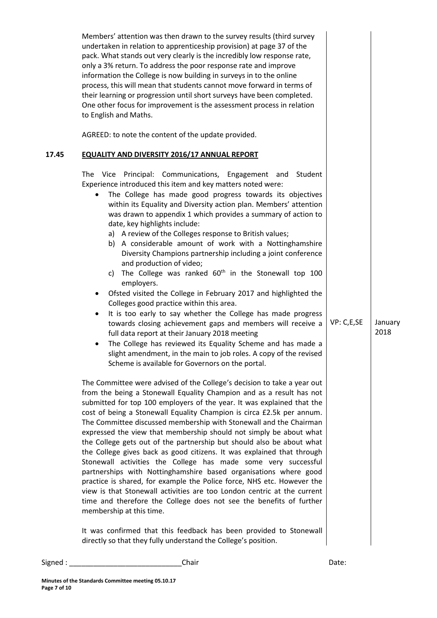|       | Members' attention was then drawn to the survey results (third survey<br>undertaken in relation to apprenticeship provision) at page 37 of the<br>pack. What stands out very clearly is the incredibly low response rate,<br>only a 3% return. To address the poor response rate and improve<br>information the College is now building in surveys in to the online<br>process, this will mean that students cannot move forward in terms of<br>their learning or progression until short surveys have been completed.<br>One other focus for improvement is the assessment process in relation<br>to English and Maths.                                                                                                                                                                                                                                                                                                                                                                                                                                                                                                                                                                                                                                                                                                                                                                                                                                                                                                                                                                                                                                                                                                                                                                                                                                                                                                                                                                                                                                                                                                                                                                                                                                                                                                                                                                    |            |                 |
|-------|---------------------------------------------------------------------------------------------------------------------------------------------------------------------------------------------------------------------------------------------------------------------------------------------------------------------------------------------------------------------------------------------------------------------------------------------------------------------------------------------------------------------------------------------------------------------------------------------------------------------------------------------------------------------------------------------------------------------------------------------------------------------------------------------------------------------------------------------------------------------------------------------------------------------------------------------------------------------------------------------------------------------------------------------------------------------------------------------------------------------------------------------------------------------------------------------------------------------------------------------------------------------------------------------------------------------------------------------------------------------------------------------------------------------------------------------------------------------------------------------------------------------------------------------------------------------------------------------------------------------------------------------------------------------------------------------------------------------------------------------------------------------------------------------------------------------------------------------------------------------------------------------------------------------------------------------------------------------------------------------------------------------------------------------------------------------------------------------------------------------------------------------------------------------------------------------------------------------------------------------------------------------------------------------------------------------------------------------------------------------------------------------|------------|-----------------|
|       | AGREED: to note the content of the update provided.                                                                                                                                                                                                                                                                                                                                                                                                                                                                                                                                                                                                                                                                                                                                                                                                                                                                                                                                                                                                                                                                                                                                                                                                                                                                                                                                                                                                                                                                                                                                                                                                                                                                                                                                                                                                                                                                                                                                                                                                                                                                                                                                                                                                                                                                                                                                         |            |                 |
| 17.45 | <b>EQUALITY AND DIVERSITY 2016/17 ANNUAL REPORT</b><br>The Vice Principal: Communications, Engagement and<br>Student<br>Experience introduced this item and key matters noted were:<br>The College has made good progress towards its objectives<br>within its Equality and Diversity action plan. Members' attention<br>was drawn to appendix 1 which provides a summary of action to<br>date, key highlights include:<br>a) A review of the Colleges response to British values;<br>b) A considerable amount of work with a Nottinghamshire<br>Diversity Champions partnership including a joint conference<br>and production of video;<br>c) The College was ranked 60 <sup>th</sup> in the Stonewall top 100<br>employers.<br>Ofsted visited the College in February 2017 and highlighted the<br>Colleges good practice within this area.<br>It is too early to say whether the College has made progress<br>$\bullet$<br>towards closing achievement gaps and members will receive a<br>full data report at their January 2018 meeting<br>The College has reviewed its Equality Scheme and has made a<br>$\bullet$<br>slight amendment, in the main to job roles. A copy of the revised<br>Scheme is available for Governors on the portal.<br>The Committee were advised of the College's decision to take a year out<br>from the being a Stonewall Equality Champion and as a result has not<br>submitted for top 100 employers of the year. It was explained that the<br>cost of being a Stonewall Equality Champion is circa £2.5k per annum.<br>The Committee discussed membership with Stonewall and the Chairman<br>expressed the view that membership should not simply be about what<br>the College gets out of the partnership but should also be about what<br>the College gives back as good citizens. It was explained that through<br>Stonewall activities the College has made some very successful<br>partnerships with Nottinghamshire based organisations where good<br>practice is shared, for example the Police force, NHS etc. However the<br>view is that Stonewall activities are too London centric at the current<br>time and therefore the College does not see the benefits of further<br>membership at this time.<br>It was confirmed that this feedback has been provided to Stonewall<br>directly so that they fully understand the College's position. | VP: C,E,SE | January<br>2018 |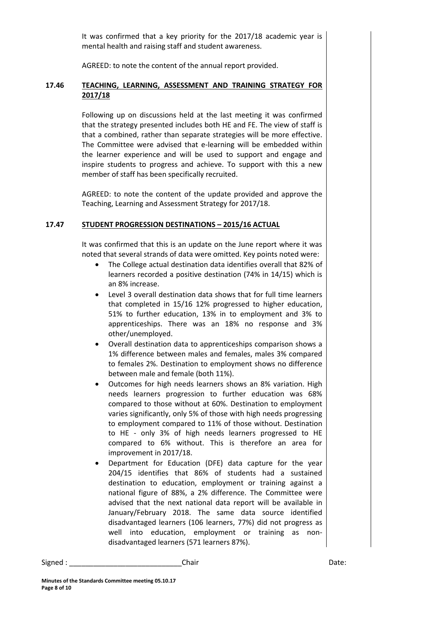It was confirmed that a key priority for the 2017/18 academic year is mental health and raising staff and student awareness.

AGREED: to note the content of the annual report provided.

# **17.46 TEACHING, LEARNING, ASSESSMENT AND TRAINING STRATEGY FOR 2017/18**

Following up on discussions held at the last meeting it was confirmed that the strategy presented includes both HE and FE. The view of staff is that a combined, rather than separate strategies will be more effective. The Committee were advised that e-learning will be embedded within the learner experience and will be used to support and engage and inspire students to progress and achieve. To support with this a new member of staff has been specifically recruited.

AGREED: to note the content of the update provided and approve the Teaching, Learning and Assessment Strategy for 2017/18.

# **17.47 STUDENT PROGRESSION DESTINATIONS – 2015/16 ACTUAL**

It was confirmed that this is an update on the June report where it was noted that several strands of data were omitted. Key points noted were:

- The College actual destination data identifies overall that 82% of learners recorded a positive destination (74% in 14/15) which is an 8% increase.
- Level 3 overall destination data shows that for full time learners that completed in 15/16 12% progressed to higher education, 51% to further education, 13% in to employment and 3% to apprenticeships. There was an 18% no response and 3% other/unemployed.
- Overall destination data to apprenticeships comparison shows a 1% difference between males and females, males 3% compared to females 2%. Destination to employment shows no difference between male and female (both 11%).
- Outcomes for high needs learners shows an 8% variation. High needs learners progression to further education was 68% compared to those without at 60%. Destination to employment varies significantly, only 5% of those with high needs progressing to employment compared to 11% of those without. Destination to HE - only 3% of high needs learners progressed to HE compared to 6% without. This is therefore an area for improvement in 2017/18.
- Department for Education (DFE) data capture for the year 204/15 identifies that 86% of students had a sustained destination to education, employment or training against a national figure of 88%, a 2% difference. The Committee were advised that the next national data report will be available in January/February 2018. The same data source identified disadvantaged learners (106 learners, 77%) did not progress as well into education, employment or training as nondisadvantaged learners (571 learners 87%).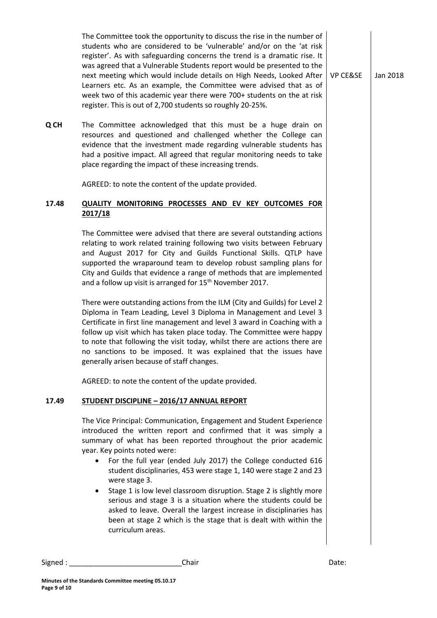The Committee took the opportunity to discuss the rise in the number of students who are considered to be 'vulnerable' and/or on the 'at risk register'. As with safeguarding concerns the trend is a dramatic rise. It was agreed that a Vulnerable Students report would be presented to the next meeting which would include details on High Needs, Looked After Learners etc. As an example, the Committee were advised that as of week two of this academic year there were 700+ students on the at risk register. This is out of 2,700 students so roughly 20-25%.

**Q CH** The Committee acknowledged that this must be a huge drain on resources and questioned and challenged whether the College can evidence that the investment made regarding vulnerable students has had a positive impact. All agreed that regular monitoring needs to take place regarding the impact of these increasing trends.

AGREED: to note the content of the update provided.

# **17.48 QUALITY MONITORING PROCESSES AND EV KEY OUTCOMES FOR 2017/18**

The Committee were advised that there are several outstanding actions relating to work related training following two visits between February and August 2017 for City and Guilds Functional Skills. QTLP have supported the wraparound team to develop robust sampling plans for City and Guilds that evidence a range of methods that are implemented and a follow up visit is arranged for 15<sup>th</sup> November 2017.

There were outstanding actions from the ILM (City and Guilds) for Level 2 Diploma in Team Leading, Level 3 Diploma in Management and Level 3 Certificate in first line management and level 3 award in Coaching with a follow up visit which has taken place today. The Committee were happy to note that following the visit today, whilst there are actions there are no sanctions to be imposed. It was explained that the issues have generally arisen because of staff changes.

AGREED: to note the content of the update provided.

### **17.49 STUDENT DISCIPLINE – 2016/17 ANNUAL REPORT**

The Vice Principal: Communication, Engagement and Student Experience introduced the written report and confirmed that it was simply a summary of what has been reported throughout the prior academic year. Key points noted were:

- For the full year (ended July 2017) the College conducted 616 student disciplinaries, 453 were stage 1, 140 were stage 2 and 23 were stage 3.
- Stage 1 is low level classroom disruption. Stage 2 is slightly more serious and stage 3 is a situation where the students could be asked to leave. Overall the largest increase in disciplinaries has been at stage 2 which is the stage that is dealt with within the curriculum areas.

Signed : \_\_\_\_\_\_\_\_\_\_\_\_\_\_\_\_\_\_\_\_\_\_\_\_\_\_\_\_Chair Date:

VP CE&SE Jan 2018